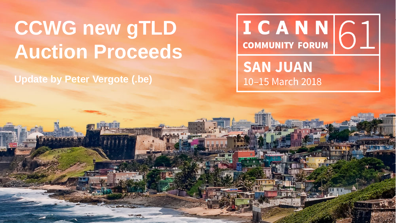# **CCWG new gTLD Auction Proceeds**

**Update by Peter Vergote (.be)**

ICANN 61 **COMMUNITY FORUM SAN JUAN** 10-15 March 2018

| 1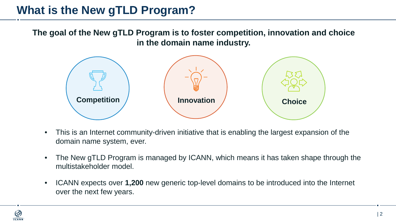# **What is the New gTLD Program?**

**The goal of the New gTLD Program is to foster competition, innovation and choice in the domain name industry.**



- This is an Internet community-driven initiative that is enabling the largest expansion of the domain name system, ever.
- The New gTLD Program is managed by ICANN, which means it has taken shape through the multistakeholder model.
- ICANN expects over **1,200** new generic top-level domains to be introduced into the Internet over the next few years.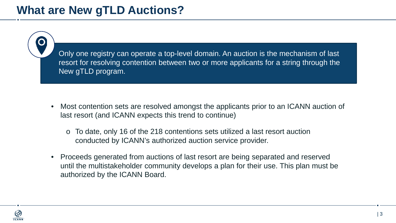## **What are New gTLD Auctions?**

Only one registry can operate a top-level domain. An auction is the mechanism of last resort for resolving contention between two or more applicants for a string through the New gTLD program.

- Most contention sets are resolved amongst the applicants prior to an ICANN auction of last resort (and ICANN expects this trend to continue)
	- o To date, only 16 of the 218 contentions sets utilized a last resort auction conducted by ICANN's authorized auction service provider.
- Proceeds generated from auctions of last resort are being separated and reserved until the multistakeholder community develops a plan for their use. This plan must be authorized by the ICANN Board.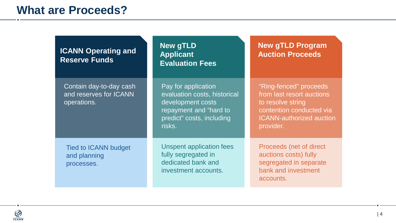### **What are Proceeds?**

| <b>ICANN Operating and</b><br><b>Reserve Funds</b>               | <b>New gTLD</b><br><b>Applicant</b><br><b>Evaluation Fees</b>                                                                             | <b>New gTLD Program</b><br><b>Auction Proceeds</b>                                                                                                   |
|------------------------------------------------------------------|-------------------------------------------------------------------------------------------------------------------------------------------|------------------------------------------------------------------------------------------------------------------------------------------------------|
| Contain day-to-day cash<br>and reserves for ICANN<br>operations. | Pay for application<br>evaluation costs, historical<br>development costs<br>repayment and "hard to<br>predict" costs, including<br>risks. | "Ring-fenced" proceeds<br>from last resort auctions<br>to resolve string<br>contention conducted via<br><b>ICANN-authorized auction</b><br>provider. |
| <b>Tied to ICANN budget</b><br>and planning<br>processes.        | Unspent application fees<br>fully segregated in<br>dedicated bank and<br>investment accounts.                                             | Proceeds (net of direct<br>auctions costs) fully<br>segregated in separate<br>bank and investment<br>accounts.                                       |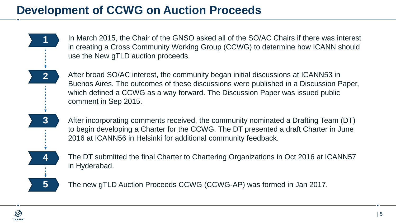# **Development of CCWG on Auction Proceeds**

In March 2015, the Chair of the GNSO asked all of the SO/AC Chairs if there was interest in creating a Cross Community Working Group (CCWG) to determine how ICANN should use the New gTLD auction proceeds.

After broad SO/AC interest, the community began initial discussions at ICANN53 in Buenos Aires. The outcomes of these discussions were published in a Discussion Paper, which defined a CCWG as a way forward. The Discussion Paper was issued public comment in Sep 2015.

After incorporating comments received, the community nominated a Drafting Team (DT) to begin developing a Charter for the CCWG. The DT presented a draft Charter in June 2016 at ICANN56 in Helsinki for additional community feedback.

The DT submitted the final Charter to Chartering Organizations in Oct 2016 at ICANN57 in Hyderabad.

The new gTLD Auction Proceeds CCWG (CCWG-AP) was formed in Jan 2017.

**1**

**2**

**3**

**4**

**5**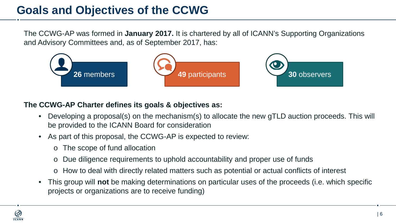## **Goals and Objectives of the CCWG**

The CCWG-AP was formed in **January 2017.** It is chartered by all of ICANN's Supporting Organizations and Advisory Committees and, as of September 2017, has:



#### **The CCWG-AP Charter defines its goals & objectives as:**

- Developing a proposal(s) on the mechanism(s) to allocate the new gTLD auction proceeds. This will be provided to the ICANN Board for consideration
- As part of this proposal, the CCWG-AP is expected to review:
	- o The scope of fund allocation
	- Due diligence requirements to uphold accountability and proper use of funds
	- o How to deal with directly related matters such as potential or actual conflicts of interest
- This group will **not** be making determinations on particular uses of the proceeds (i.e. which specific projects or organizations are to receive funding)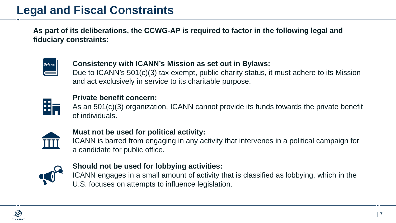**As part of its deliberations, the CCWG-AP is required to factor in the following legal and fiduciary constraints:**



#### **Consistency with ICANN's Mission as set out in Bylaws:**

Due to ICANN's 501(c)(3) tax exempt, public charity status, it must adhere to its Mission and act exclusively in service to its charitable purpose.



#### **Private benefit concern:**

As an 501(c)(3) organization, ICANN cannot provide its funds towards the private benefit of individuals.



#### **Must not be used for political activity:**

ICANN is barred from engaging in any activity that intervenes in a political campaign for a candidate for public office.



#### **Should not be used for lobbying activities:**

ICANN engages in a small amount of activity that is classified as lobbying, which in the U.S. focuses on attempts to influence legislation.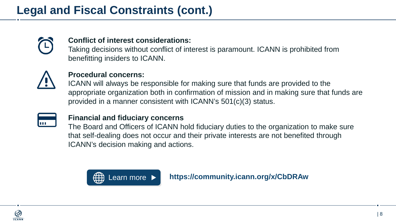

#### **Conflict of interest considerations:**

Taking decisions without conflict of interest is paramount. ICANN is prohibited from benefitting insiders to ICANN.



#### **Procedural concerns:**

ICANN will always be responsible for making sure that funds are provided to the appropriate organization both in confirmation of mission and in making sure that funds are provided in a manner consistent with ICANN's 501(c)(3) status.



#### **Financial and fiduciary concerns**

The Board and Officers of ICANN hold fiduciary duties to the organization to make sure that self-dealing does not occur and their private interests are not benefited through ICANN's decision making and actions.



[Learn more](https://community.icann.org/x/CbDRAw) **[https://community.icann.org/x/CbDRAw](http://uasg.tech/)**

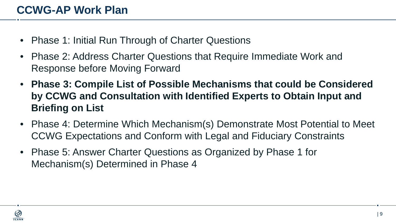- Phase 1: Initial Run Through of Charter Questions
- Phase 2: Address Charter Questions that Require Immediate Work and Response before Moving Forward
- **Phase 3: Compile List of Possible Mechanisms that could be Considered by CCWG and Consultation with Identified Experts to Obtain Input and Briefing on List**
- Phase 4: Determine Which Mechanism(s) Demonstrate Most Potential to Meet CCWG Expectations and Conform with Legal and Fiduciary Constraints
- Phase 5: Answer Charter Questions as Organized by Phase 1 for Mechanism(s) Determined in Phase 4

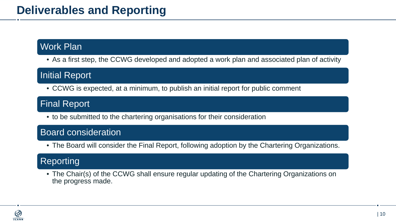### Work Plan

• As a first step, the CCWG developed and adopted a work plan and associated plan of activity

### Initial Report

• CCWG is expected, at a minimum, to publish an initial report for public comment

### Final Report

• to be submitted to the chartering organisations for their consideration

### Board consideration

• The Board will consider the Final Report, following adoption by the Chartering Organizations.

### Reporting

• The Chair(s) of the CCWG shall ensure regular updating of the Chartering Organizations on the progress made.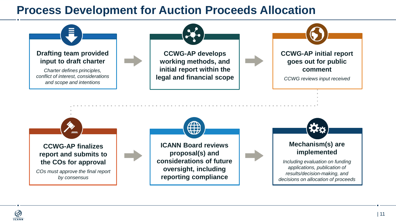### **Process Development for Auction Proceeds Allocation**

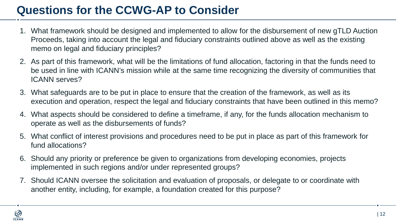# **Questions for the CCWG-AP to Consider**

- 1. What framework should be designed and implemented to allow for the disbursement of new gTLD Auction Proceeds, taking into account the legal and fiduciary constraints outlined above as well as the existing memo on legal and fiduciary principles?
- 2. As part of this framework, what will be the limitations of fund allocation, factoring in that the funds need to be used in line with ICANN's mission while at the same time recognizing the diversity of communities that ICANN serves?
- 3. What safeguards are to be put in place to ensure that the creation of the framework, as well as its execution and operation, respect the legal and fiduciary constraints that have been outlined in this memo?
- 4. What aspects should be considered to define a timeframe, if any, for the funds allocation mechanism to operate as well as the disbursements of funds?
- 5. What conflict of interest provisions and procedures need to be put in place as part of this framework for fund allocations?
- 6. Should any priority or preference be given to organizations from developing economies, projects implemented in such regions and/or under represented groups?
- 7. Should ICANN oversee the solicitation and evaluation of proposals, or delegate to or coordinate with another entity, including, for example, a foundation created for this purpose?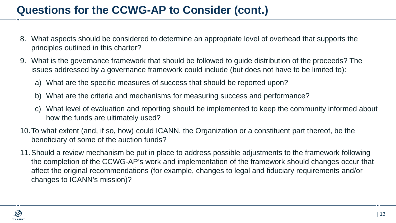## **Questions for the CCWG-AP to Consider (cont.)**

- 8. What aspects should be considered to determine an appropriate level of overhead that supports the principles outlined in this charter?
- 9. What is the governance framework that should be followed to guide distribution of the proceeds? The issues addressed by a governance framework could include (but does not have to be limited to):
	- a) What are the specific measures of success that should be reported upon?
	- b) What are the criteria and mechanisms for measuring success and performance?
	- c) What level of evaluation and reporting should be implemented to keep the community informed about how the funds are ultimately used?
- 10.To what extent (and, if so, how) could ICANN, the Organization or a constituent part thereof, be the beneficiary of some of the auction funds?
- 11.Should a review mechanism be put in place to address possible adjustments to the framework following the completion of the CCWG-AP's work and implementation of the framework should changes occur that affect the original recommendations (for example, changes to legal and fiduciary requirements and/or changes to ICANN's mission)?

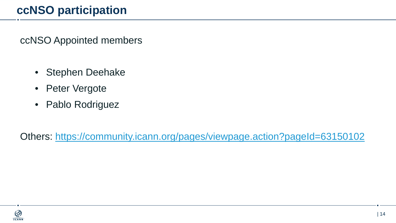# **ccNSO participation**

ccNSO Appointed members

- Stephen Deehake
- Peter Vergote
- Pablo Rodriguez

Others:<https://community.icann.org/pages/viewpage.action?pageId=63150102>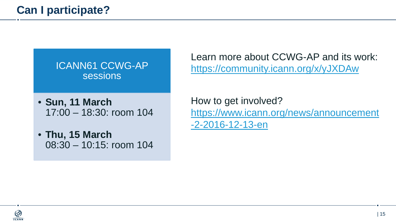ICANN61 CCWG-AP sessions

- **Sun, 11 March** 17:00 – 18:30: room 104
- **Thu, 15 March** 08:30 – 10:15: room 104

Learn more about CCWG-AP and its work: <https://community.icann.org/x/yJXDAw>

How to get involved? [https://www.icann.org/news/announcement](https://www.icann.org/news/announcement-2-2016-12-13-en) -2-2016-12-13-en